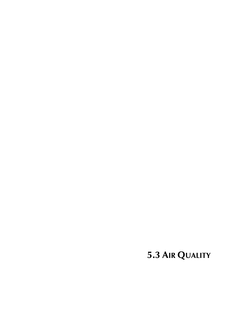**5.3 AIR QUALITY**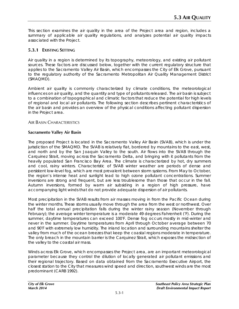This section examines the air quality in the area of the Project area and region, includes a summary of applicable air quality regulations, and analyzes potential air quality impacts associated with the Project.

# **5.3.1 EXISTING SETTING**

Air quality in a region is determined by its topography, meteorology, and existing air pollutant sources. These factors are discussed below, together with the current regulatory structure that applies to the Sacramento Valley Air Basin, which encompasses the City of Elk Grove, pursuant to the regulatory authority of the Sacramento Metropolitan Air Quality Management District (SMAQMD).

Ambient air quality is commonly characterized by climate conditions, the meteorological influences on air quality, and the quantity and type of pollutants released. The air basin is subject to a combination of topographical and climatic factors that reduce the potential for high levels of regional and local air pollutants. The following section describes pertinent characteristics of the air basin and provides an overview of the physical conditions affecting pollutant dispersion in the Project area.

## AIR BASIN CHARACTERISTICS

## **Sacramento Valley Air Basin**

The proposed Project is located in the Sacramento Valley Air Basin (SVAB), which is under the jurisdiction of the SMAQMD. The SVAB is relatively flat, bordered by mountains to the east, west, and north and by the San Joaquin Valley to the south. Air flows into the SVAB through the Carquinez Strait, moving across the Sacramento Delta, and bringing with it pollutants from the heavily populated San Francisco Bay Area. The climate is characterized by hot, dry summers and cool, rainy winters. Characteristic of SVAB winter weather are periods of dense and persistent low-level fog, which are most prevalent between storm systems. From May to October, the region's intense heat and sunlight lead to high ozone pollutant concentrations. Summer inversions are strong and frequent, but are less troublesome than those that occur in the fall. Autumn inversions, formed by warm air subsiding in a region of high pressure, have accompanying light winds that do not provide adequate dispersion of air pollutants.

Most precipitation in the SVAB results from air masses moving in from the Pacific Ocean during the winter months. These storms usually move through the area from the west or northwest. Over half the total annual precipitation falls during the winter rainy season (November through February); the average winter temperature is a moderate 49 degrees Fahrenheit (°F). During the summer, daytime temperatures can exceed 100°F. Dense fog occurs mostly in mid-winter and never in the summer. Daytime temperatures from April through October average between 70 and 90°F with extremely low humidity. The inland location and surrounding mountains shelter the valley from much of the ocean breezes that keep the coastal regions moderate in temperature. The only breach in the mountain barrier is the Carquinez Strait, which exposes the midsection of the valley to the coastal air mass.

Winds across Elk Grove, which encompasses the Project area, are an important meteorological parameter because they control the dilution of locally generated air pollutant emissions and their regional trajectory. Based on data obtained from the Sacramento Executive Airport, the closest station to the City that measures wind speed and direction, southwest winds are the most predominant (CARB 1992).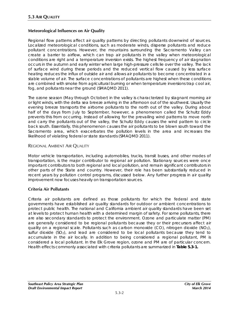# **Meteorological Influences on Air Quality**

Regional flow patterns affect air quality patterns by directing pollutants downwind of sources. Localized meteorological conditions, such as moderate winds, disperse pollutants and reduce pollutant concentrations. However, the mountains surrounding the Sacramento Valley can create a barrier to airflow, which can trap air pollutants in the valley when meteorological conditions are right and a temperature inversion exists. The highest frequency of air stagnation occurs in the autumn and early winter when large high-pressure cells lie over the valley. The lack of surface wind during these periods and the reduced vertical flow caused by less surface heating reduces the influx of outside air and allows air pollutants to become concentrated in a stable volume of air. The surface concentrations of pollutants are highest when these conditions are combined with smoke from agricultural burning or when temperature inversions trap cool air, fog, and pollutants near the ground (SMAQMD 2011).

The ozone season (May through October) in the valley is characterized by stagnant morning air or light winds, with the delta sea breeze arriving in the afternoon out of the southwest. Usually the evening breeze transports the airborne pollutants to the north out of the valley. During about half of the days from July to September, however, a phenomenon called the Schultz Eddy prevents this from occurring. Instead of allowing for the prevailing wind patterns to move north and carry the pollutants out of the valley, the Schultz Eddy causes the wind pattern to circle back south. Essentially, this phenomenon causes the air pollutants to be blown south toward the Sacramento area, which exacerbates the pollution levels in the area and increases the likelihood of violating federal or state standards (SMAQMD 2011).

## REGIONAL AMBIENT AIR QUALITY

Motor vehicle transportation, including automobiles, trucks, transit buses, and other modes of transportation, is the major contributor to regional air pollution. Stationary sources were once important contributors to both regional and local pollution, and remain significant contributors in other parts of the State and country. However, their role has been substantially reduced in recent years by pollution control programs, discussed below. Any further progress in air quality improvement now focuses heavily on transportation sources.

## **Criteria Air Pollutants**

Criteria air pollutants are defined as those pollutants for which the federal and state governments have established air quality standards for outdoor or ambient concentrations to protect public health. The national and California ambient air quality standards have been set at levels to protect human health with a determined margin of safety. For some pollutants, there are also secondary standards to protect the environment. Ozone and particulate matter (PM) are generally considered to be regional pollutants because they or their precursors affect air quality on a regional scale. Pollutants such as carbon monoxide (CO), nitrogen dioxide (NO2), sulfur dioxide ( $SO<sub>2</sub>$ ), and lead are considered to be local pollutants because they tend to accumulate in the air locally. In addition to being considered a regional pollutant, PM is considered a local pollutant. In the Elk Grove region, ozone and PM are of particular concern. Health effects commonly associated with criteria pollutants are summarized in **Table 5.3-1.**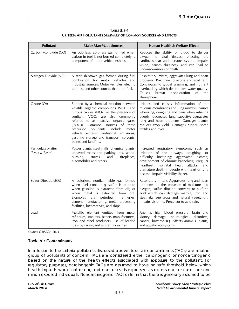| <b>TABLE 5.3-1</b>                                            |
|---------------------------------------------------------------|
| CRITERIA AIR POLLUTANTS SUMMARY OF COMMON SOURCES AND EFFECTS |

| <b>Pollutant</b>                                              | <b>Major Man-Made Sources</b>                                                                                                                                                                                                                                                                                                                                                                                        | <b>Human Health &amp; Welfare Effects</b>                                                                                                                                                                                                                                                                                            |
|---------------------------------------------------------------|----------------------------------------------------------------------------------------------------------------------------------------------------------------------------------------------------------------------------------------------------------------------------------------------------------------------------------------------------------------------------------------------------------------------|--------------------------------------------------------------------------------------------------------------------------------------------------------------------------------------------------------------------------------------------------------------------------------------------------------------------------------------|
| Carbon Monoxide (CO)                                          | An odorless, colorless gas formed when<br>carbon in fuel is not burned completely; a<br>component of motor vehicle exhaust.                                                                                                                                                                                                                                                                                          | Reduces the ability of blood to deliver<br>to vital tissues,<br>effecting the<br>oxygen<br>cardiovascular and nervous system. Impairs<br>vision, causes dizziness, and can lead to<br>unconsciousness or death.                                                                                                                      |
| Nitrogen Dioxide (NO <sub>2</sub> )                           | A reddish-brown gas formed during fuel<br>combustion for motor vehicles and<br>industrial sources. Motor vehicles, electric<br>utilities, and other sources that burn fuel.                                                                                                                                                                                                                                          | Respiratory irritant; aggravates lung and heart<br>problems. Precursor to ozone and acid rain.<br>Contributes to global warming, and nutrient<br>overloading which deteriorates water quality.<br>Causes<br>brown<br>discoloration<br>of<br>the<br>atmosphere.                                                                       |
| Ozone (O <sub>3</sub> )                                       | Formed by a chemical reaction between<br>volatile organic compounds (VOC) and<br>nitrous oxides (NO <sub>x</sub> ) in the presence of<br>sunlight. VOCs are also commonly<br>referred to as reactive organic gases<br>(ROGs). Common sources of these<br>pollutants<br>include<br>motor<br>precursor<br>vehicle exhaust, industrial emissions,<br>gasoline storage and transport, solvents,<br>paints and landfills. | Irritates and causes inflammation of the<br>mucous membranes and lung airways; causes<br>wheezing, coughing and pain when inhaling<br>deeply; decreases lung capacity; aggravates<br>lung and heart problems. Damages plants;<br>reduces crop yield. Damages rubber, some<br>textiles and dyes.                                      |
| Particulate Matter<br>(PM <sub>10</sub> & PM <sub>2.5</sub> ) | Power plants, steel mills, chemical plants,<br>unpaved roads and parking lots, wood-<br>burning<br>stoves<br>and<br>fireplaces,<br>automobiles and others.                                                                                                                                                                                                                                                           | Increased respiratory symptoms, such as<br>irritation of the airways, coughing,<br>or<br>difficulty<br>breathing;<br>aggravated asthma;<br>development of chronic bronchitis; irregular<br>heartbeat;<br>nonfatal<br>heart<br>attacks;<br>and<br>premature death in people with heart or lung<br>disease. Impairs visibility (haze). |
| Sulfur Dioxide (SO <sub>2</sub> )                             | A colorless, nonflammable gas formed<br>when fuel containing sulfur is burned;<br>when gasoline is extracted from oil; or<br>when metal is extracted from ore.<br>petroleum<br>Examples<br>are<br>refineries,<br>cement manufacturing, metal processing<br>facilities, locomotives, and ships.                                                                                                                       | Respiratory irritant. Aggravates lung and heart<br>problems. In the presence of moisture and<br>oxygen, sulfur dioxide converts to sulfuric<br>acid which can damage marble, iron and<br>steel; damage crops and natural vegetation.<br>Impairs visibility. Precursor to acid rain.                                                  |
| Lead                                                          | Metallic element emitted from metal<br>refineries, smelters, battery manufacturers,<br>iron and steel producers, use of leaded<br>fuels by racing and aircraft industries.                                                                                                                                                                                                                                           | Anemia, high blood pressure, brain and<br>kidney damage, neurological disorders,<br>cancer, lowered IQ. Affects animals, plants,<br>and aquatic ecosystems.                                                                                                                                                                          |

*Source: CAPCOA 2011*

#### **Toxic Air Contaminants**

In addition to the criteria pollutants discussed above, toxic air contaminants (TACs) are another group of pollutants of concern. TACs are considered either carcinogenic or noncarcinogenic based on the nature of the health effects associated with exposure to the pollutant. For regulatory purposes, carcinogenic TACs are assumed to have no safe threshold below which health impacts would not occur, and cancer risk is expressed as excess cancer cases per one million exposed individuals. Noncarcinogenic TACs differ in that there is generally assumed to be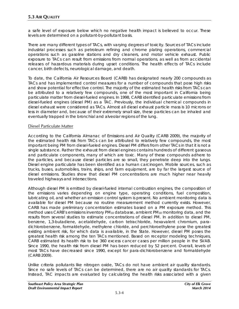a safe level of exposure below which no negative health impact is believed to occur. These levels are determined on a pollutant-by-pollutant basis.

There are many different types of TACs, with varying degrees of toxicity. Sources of TACs include industrial processes such as petroleum refining and chrome plating operations, commercial operations such as gasoline stations and dry cleaners, and motor vehicle exhaust. Public exposure to TACs can result from emissions from normal operations, as well as from accidental releases of hazardous materials during upset conditions. The health effects of TACs include cancer, birth defects, neurological damage, and death.

To date, the California Air Resources Board (CARB) has designated nearly 200 compounds as TACs and has implemented control measures for a number of compounds that pose high risks and show potential for effective control. The majority of the estimated health risks from TACs can be attributed to a relatively few compounds, one of the most important in California being particulate matter from diesel-fueled engines. In 1998, CARB identified particulate emissions from diesel-fueled engines (diesel PM) as a TAC. Previously, the individual chemical compounds in diesel exhaust were considered as TACs. Almost all diesel exhaust particle mass is 10 microns or less in diameter and, because of their extremely small size, these particles can be inhaled and eventually trapped in the bronchial and alveolar regions of the lung.

#### Diesel Particulate Matter

According to the California Almanac of Emissions and Air Quality (CARB 2009), the majority of the estimated health risk from TACs can be attributed to relatively few compounds, the most important being PM from diesel-fueled engines. Diesel PM differs from other TACs in that it is not a single substance. Rather the exhaust from diesel engines contains hundreds of different gaseous and particulate components, many of which are toxic. Many of these compounds adhere to the particles, and because diesel particles are so small, they penetrate deep into the lungs. Diesel engine particulate has been identified as a human carcinogen. Mobile sources, such as trucks, buses, automobiles, trains, ships, and farm equipment, are by far the largest source of diesel emissions. Studies show that diesel PM concentrations are much higher near heavily traveled highways and intersections.

Although diesel PM is emitted by diesel-fueled internal combustion engines, the composition of the emissions varies depending on engine type, operating conditions, fuel composition, lubricating oil, and whether an emission control system is present. No ambient monitoring data is available for diesel PM because no routine measurement method currently exists. However, CARB has made preliminary concentration estimates based on a PM exposure method. This method uses CARB's emissions inventory PM<sub>10</sub> database, ambient PM<sub>10</sub> monitoring data, and the results from several studies to estimate concentrations of diesel PM. In addition to diesel PM, benzene, 1,3-butadiene, acetaldehyde, carbon tetrachloride, hexavalent chromium, paradichlorobenzene, formaldehyde, methylene chloride, and perchloroethylene pose the greatest existing ambient risk, for which data is available, in the State. However, diesel PM poses the greatest health risk among the ten TACs mentioned. Based on receptor modeling techniques, CARB estimated its health risk to be 360 excess cancer cases per million people in the SVAB. Since 1990, the health risk from diesel PM has been reduced by 52 percent. Overall, levels of most TACs have decreased since 1990, except for para-dichlorobenzene and formaldehyde (CARB 2009).

Unlike criteria pollutants like nitrogen oxide, TACs do not have ambient air quality standards. Since no safe levels of TACs can be determined, there are no air quality standards for TACs. Instead, TAC impacts are evaluated by calculating the health risks associated with a given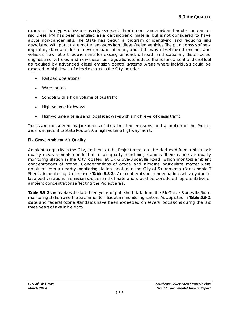exposure. Two types of risk are usually assessed: chronic non-cancer risk and acute non-cancer risk. Diesel PM has been identified as a carcinogenic material but is not considered to have acute non-cancer risks. The State has begun a program of identifying and reducing risks associated with particulate matter emissions from diesel-fueled vehicles. The plan consists of new regulatory standards for all new on-road, off-road, and stationary diesel-fueled engines and vehicles, new retrofit requirements for existing on-road, off-road, and stationary diesel-fueled engines and vehicles, and new diesel fuel regulations to reduce the sulfur content of diesel fuel as required by advanced diesel emission control systems. Areas where individuals could be exposed to high levels of diesel exhaust in the City include:

- Railroad operations
- **Warehouses**
- Schools with a high volume of bus traffic
- High-volume highways
- High-volume arterials and local roadways with a high level of diesel traffic

Trucks are considered major sources of diesel-related emissions, and a portion of the Project area is adjacent to State Route 99, a high-volume highway facility.

# **Elk Grove Ambient Air Quality**

Ambient air quality in the City, and thus at the Project area, can be deduced from ambient air quality measurements conducted at air quality monitoring stations. There is one air quality monitoring station in the City located at Elk Grove-Bruceville Road, which monitors ambient concentrations of ozone. Concentrations of ozone and airborne particulate matter were obtained from a nearby monitoring station located in the City of Sacramento (Sacramento-T Street air monitoring station) (see **Table 5.3-2**). Ambient emission concentrations will vary due to localized variations in emission sources and climate and should be considered representative of ambient concentrations affecting the Project area.

**Table 5.3-2** summarizes the last three years of published data from the Elk Grove-Bruceville Road monitoring station and the Sacramento-T Street air monitoring station. As depicted in **Table 5.3-2**, state and federal ozone standards have been exceeded on several occasions during the last three years of available data.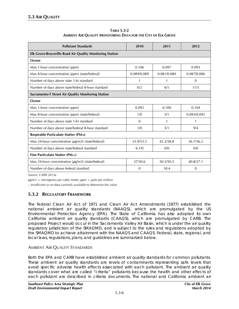| <b>TABLE 5.3-2</b>                                            |
|---------------------------------------------------------------|
| AMBIENT AIR QUALITY MONITORING DATA FOR THE CITY OF ELK GROVE |

| <b>Pollutant Standards</b>                                      | 2010        | 2011        | 2012         |  |  |  |  |
|-----------------------------------------------------------------|-------------|-------------|--------------|--|--|--|--|
| <b>Elk Grove-Bruceville Road Air Quality Monitoring Station</b> |             |             |              |  |  |  |  |
| Ozone                                                           |             |             |              |  |  |  |  |
| Max 1-hour concentration (ppm)                                  | 0.106       | 0.097       | 0.093        |  |  |  |  |
| Max 8-hour concentration (ppm) (state/federal)                  | 0.089/0.089 | 0.081/0.080 | 0.087/0.086  |  |  |  |  |
| Number of days above state 1-hr standard                        | 1           | 1           | $\Omega$     |  |  |  |  |
| Number of days above state/federal 8-hour standard              | 6/2         | 6/1         | 11/5         |  |  |  |  |
| Sacramento-T Street Air Quality Monitoring Station              |             |             |              |  |  |  |  |
| Ozone                                                           |             |             |              |  |  |  |  |
| Max 1-hour concentration (ppm)                                  | 0.092       | 0.100       | 0.104        |  |  |  |  |
| Max 8-hour concentration (ppm) (state/federal)                  | 1/0         | 5/1         | 0.093/0.092  |  |  |  |  |
| Number of days above state 1-hr standard                        | $\Omega$    | 1           | $\mathbf{1}$ |  |  |  |  |
| Number of days above state/federal 8-hour standard              | 1/0         | 5/1         | 9/4          |  |  |  |  |
| Respirable Particulate Matter (PM10)                            |             |             |              |  |  |  |  |
| Max 24-hour concentration $(\mu g/m3)$ (state/federal)          | 53.9/53.5   | 42.2/38.8   | 36.7/36.2    |  |  |  |  |
| Number of days above state/federal standard                     | 6.1/0       | 0/0         | 0/0          |  |  |  |  |
| Fine Particulate Matter (PM2.5)                                 |             |             |              |  |  |  |  |
| Max 24-hour concentration $(\mu g/m3)$ (state/federal)          | 37/30.6     | 50.5/50.5   | 40.8/27.1    |  |  |  |  |
| Number of days above federal standard                           | $\Omega$    | 18.4        | $\Omega$     |  |  |  |  |

*Source: CARB 2013a*

*μg/m3 = micrograms per cubic meter; ppm = parts per million*

*– Insufficient or no data currently available to determine the value*

# **5.3.2 REGULATORY FRAMEWORK**

The federal Clean Air Act of 1971 and Clean Air Act Amendments (1977) established the national ambient air quality standards (NAAQS), which are promulgated by the US Environmental Protection Agency (EPA). The State of California has also adopted its own California ambient air quality standards (CAAQS), which are promulgated by CARB. The proposed Project would occur in the Sacramento Valley Air Basin, which is under the air quality regulatory jurisdiction of the SMAQMD, and is subject to the rules and regulations adopted by the SMAQMD to achieve attainment with the NAAQS and CAAQS. Federal, state, regional, and local laws, regulations, plans, and guidelines are summarized below.

# AMBIENT AIR QUALITY STANDARDS

Both the EPA and CARB have established ambient air quality standards for common pollutants. These ambient air quality standards are levels of contaminants representing safe levels that avoid specific adverse health effects associated with each pollutant. The ambient air quality standards cover what are called "criteria" pollutants because the health and other effects of each pollutant are described in criteria documents. The national and California ambient air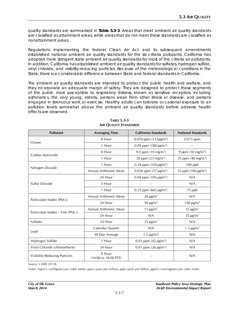quality standards are summarized in **Table 5.3-3**. Areas that meet ambient air quality standards are classified as attainment areas, while areas that do not meet these standards are classified as nonattainment areas.

Regulations implementing the federal Clean Air Act and its subsequent amendments established national ambient air quality standards for the six criteria pollutants. California has adopted more stringent state ambient air quality standards for most of the criteria air pollutants. In addition, California has established ambient air quality standards for sulfates, hydrogen sulfide, vinyl chloride, and visibility-reducing particles. Because of the meteorological conditions in the State, there is a considerable difference between State and federal standards in California.

The ambient air quality standards are intended to protect the public health and welfare, and they incorporate an adequate margin of safety. They are designed to protect those segments of the public most susceptible to respiratory distress, known as sensitive receptors, including asthmatics, the very young, elderly, persons weak from other illness or disease, and persons engaged in strenuous work or exercise. Healthy adults can tolerate occasional exposure to air pollution levels somewhat above the ambient air quality standards before adverse health effects are observed.

| <b>Pollutant</b>                       | <b>Averaging Time</b>                            | <b>California Standards</b>            | <b>National Standards</b>            |  |
|----------------------------------------|--------------------------------------------------|----------------------------------------|--------------------------------------|--|
|                                        | 8 Hour                                           | 0.070 ppm $(137 \mu g/m^3)$            | $0.075$ ppm                          |  |
| Ozone                                  | 1 Hour                                           | 0.09 ppm (180 $\mu$ g/m <sup>3</sup> ) |                                      |  |
| Carbon Monoxide                        | 8 Hour                                           | 9.0 ppm $(10 \text{ mg/m}^3)$          | 9 ppm $(10 \text{ mg/m}^3)$          |  |
|                                        | 1 Hour                                           | 20 ppm $(23 \text{ mg/m}^3)$           | 35 ppm $(40 \text{ mg/m}^3)$         |  |
|                                        | 1 Hour                                           | 0.18 ppm $(339 \,\mu g/m^3)$           | $100$ ppb                            |  |
| Nitrogen Dioxide                       | Annual Arithmetic Mean                           | 0.030 ppm $(57 \,\mu g/m^3)$           | 53 ppb (100 $\mu$ g/m <sup>3</sup> ) |  |
|                                        | 24 Hour                                          | 0.04 ppm (105 $\mu$ g/m <sup>3</sup> ) | N/A                                  |  |
| Sulfur Dioxide                         | 3 Hour                                           |                                        | N/A                                  |  |
|                                        | 1 Hour<br>0.25 ppm (665 $\mu$ g/m <sup>3</sup> ) |                                        | 75 ppb                               |  |
|                                        | Annual Arithmetic Mean<br>$20 \mu g/m^3$         |                                        | N/A                                  |  |
| Particulate Matter (PM <sub>10</sub> ) | 24 Hour                                          | 50 $\mu$ g/m <sup>3</sup>              | 150 $\mu$ g/m <sup>3</sup>           |  |
|                                        | Annual Arithmetic Mean                           | 12 $\mu$ g/m <sup>3</sup>              | 15 $\mu$ g/m <sup>3</sup>            |  |
| Particulate Matter – Fine (PM2.5)      | N/A<br>24 Hour                                   |                                        | $35 \,\mu g/m^3$                     |  |
| <b>Sulfates</b>                        | 24 Hour                                          | $25 \mu g/m^3$                         | N/A                                  |  |
|                                        | N/A<br>Calendar Quarter                          |                                        | 1.5 $\mu$ g/m <sup>3</sup>           |  |
| Lead                                   | 30 Day Average                                   | 1.5 $\mu$ g/m <sup>3</sup> )           | N/A                                  |  |
| Hydrogen Sulfide                       | 1 Hour                                           | 0.03 ppm $(42 \mu g/m^3)$              | N/A                                  |  |
| Vinyl Chloride (chloroethene)          | 24 Hour                                          | 0.01 ppm $(26 \,\mu g/m^3)$            | N/A                                  |  |
| Visibility-Reducing Particles          | 8 Hour<br>(10:00 to 18:00 PST)                   |                                        | N/A                                  |  |

#### **TABLE 5.3-3 AIR QUALITY STANDARDS**

*Source: CARB 2013b*

*Notes: mg/m3=milligrams per cubic meter; ppm=parts per million; ppb=parts per billion; µg/m3=micrograms per cubic meter*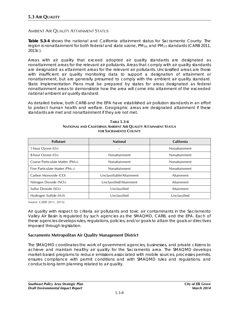## AMBIENT AIR QUALITY ATTAINMENT STATUS

**Table 5.3-4** shows the national and California attainment status for Sacramento County. The region is nonattainment for both federal and state ozone,  $PM_{10}$ , and  $PM_{2.5}$  standards (CARB 2011, 2013c).

Areas with air quality that exceed adopted air quality standards are designated as nonattainment areas for the relevant air pollutants. Areas that comply with air quality standards are designated as attainment areas for the relevant air pollutants. Unclassified areas are those with insufficient air quality monitoring data to support a designation of attainment or nonattainment, but are generally presumed to comply with the ambient air quality standard. State Implementation Plans must be prepared by states for areas designated as federal nonattainment areas to demonstrate how the area will come into attainment of the exceeded national ambient air quality standard.

As detailed below, both CARB and the EPA have established air pollution standards in an effort to protect human health and welfare. Geographic areas are designated attainment if these standards are met and nonattainment if they are not met.

| Pollutant                         | <b>National</b>           | California    |
|-----------------------------------|---------------------------|---------------|
| 1-hour Ozone $(O_3)$              |                           | Nonattainment |
| 8-hour Ozone $(O_3)$              | Nonattainment             | Nonattainment |
| Coarse Particulate Matter (PM10)  | Nonattainment             | Nonattainment |
| Fine Particulate Matter (PM2.5)   | Nonattainment             | Nonattainment |
| Carbon Monoxide (CO)              | Unclassifiable/Attainment | Attainment    |
| Nitrogen Dioxide (NO2)            | Unclassified/Attainment   | Attainment    |
| Sulfur Dioxide (SO <sub>2</sub> ) | Unclassified              | Attainment    |
| Hydrogen Sulfide $(H_2S)$         | Unclassified              | Unclassified  |

#### **TABLE 5.3-4 NATIONAL AND CALIFORNIA AMBIENT AIR QUALITY ATTAINMENT STATUS FOR SACRAMENTO COUNTY**

*Source: CARB 2011, 2013c*

Air quality with respect to criteria air pollutants and toxic air contaminants in the Sacramento Valley Air Basin is regulated by such agencies as the SMAQMD, CARB, and the EPA. Each of these agencies develops rules, regulations, policies, and/or goals to attain the goals or directives imposed through legislation.

## **Sacramento Metropolitan Air Quality Management District**

The SMAQMD coordinates the work of government agencies, businesses, and private citizens to achieve and maintain healthy air quality for the Sacramento area. The SMAQMD develops market-based programs to reduce emissions associated with mobile sources, processes permits, ensures compliance with permit conditions and with SMAQMD rules and regulations, and conducts long-term planning related to air quality.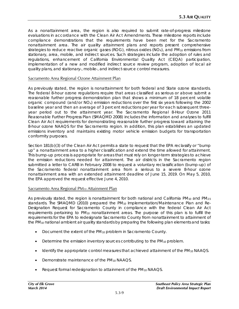As a nonattainment area, the region is also required to submit rate-of-progress milestone evaluations in accordance with the Clean Air Act Amendments. These milestone reports include compliance demonstrations that the requirements have been met for the Sacramento nonattainment area. The air quality attainment plans and reports present comprehensive strategies to reduce reactive organic gases (ROG), nitrous oxides ( $NO<sub>X</sub>$ ), and  $PM<sub>10</sub>$  emissions from stationary, area, mobile, and indirect sources. Such strategies include the adoption of rules and regulations, enhancement of California Environmental Quality Act (CEQA) participation, implementation of a new and modified indirect source review program, adoption of local air quality plans, and stationary-, mobile-, and indirect-source control measures.

## Sacramento Area Regional Ozone Attainment Plan

As previously stated, the region is nonattainment for both federal and State ozone standards. The federal 8-hour ozone regulations require that areas classified as serious or above submit a reasonable further progress demonstration plan that shows a minimum of 18 percent volatile organic compound (and/or NOx) emission reductions over the first six years following the 2002 baseline year and then an average of 3 percent reductions per year for each subsequent threeyear period out to the attainment year. The Sacramento Regional 8-Hour Ozone 2011 Reasonable Further Progress Plan (SMAQMD 2008) includes the information and analyses to fulfill Clean Air Act requirements for demonstrating reasonable further progress toward attaining the 8-hour ozone NAAQS for the Sacramento region. In addition, this plan establishes an updated emissions inventory and maintains existing motor vehicle emission budgets for transportation conformity purposes.

Section 181(b)(3) of the Clean Air Act permits a state to request that the EPA reclassify or "bump up" a nonattainment area to a higher classification and extend the time allowed for attainment. This bump-up process is appropriate for areas that must rely on longer-term strategies to achieve the emission reductions needed for attainment. The air districts in the Sacramento region submitted a letter to CARB in February 2008 to request a voluntary reclassification (bump-up) of the Sacramento federal nonattainment area from a serious to a severe 8-hour ozone nonattainment area with an extended attainment deadline of June 15, 2019. On May 5, 2010, the EPA approved the request effective June 4, 2010.

## Sacramento Area Regional PM10 Attainment Plan

As previously stated, the region is nonattainment for both national and California PM<sub>10</sub> and PM<sub>2.5</sub> standards. The SMAQMD (2010) prepared the PM10 Implementation/Maintenance Plan and Re-Designation Request for Sacramento County in compliance with the federal Clean Air Act requirements pertaining to PM10 nonattainment areas. The purpose of this plan is to fulfill the requirements for the EPA to redesignate Sacramento County from nonattainment to attainment of the PM<sub>10</sub> national ambient air quality standards by preparing the following plan elements and tasks:

- Document the extent of the PM<sub>10</sub> problem in Sacramento County.
- Determine the emission inventory sources contributing to the  $PM_{10}$  problem.
- Identify the appropriate control measures that achieved attainment of the PM<sub>10</sub> NAAQS.
- Demonstrate maintenance of the PM<sub>10</sub> NAAQS.
- Request formal redesignation to attainment of the PM<sub>10</sub> NAAQS.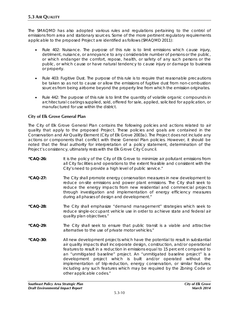The SMAQMD has also adopted various rules and regulations pertaining to the control of emissions from area and stationary sources. Some of the more pertinent regulatory requirements applicable to the proposed Project are identified as follows (SMAQMD 2011):

- *Rule 402: Nuisance*. The purpose of this rule is to limit emissions which cause injury, detriment, nuisance, or annoyance to any considerable number of persons or the public, or which endanger the comfort, repose, health, or safety of any such persons or the public, or which cause or have natural tendency to cause injury or damage to business or property.
- Rule 403: Fugitive Dust. The purpose of this rule is to require that reasonable precautions be taken so as not to cause or allow the emissions of fugitive dust from non-combustion sources from being airborne beyond the property line from which the emission originates.
- Rule 442: The purpose of this rule is to limit the quantity of volatile organic compounds in architectural coatings supplied, sold, offered for sale, applied, solicited for application, or manufactured for use within the district.

# **City of Elk Grove General Plan**

The City of Elk Grove General Plan contains the following policies and actions related to air quality that apply to the proposed Project. These policies and goals are contained in the Conservation and Air Quality Element (City of Elk Grove 2003a). The Project does not include any actions or components that conflict with these General Plan policies. However, it should be noted that the final authority for interpretation of a policy statement, determination of the Project's consistency, ultimately rests with the Elk Grove City Council.

- **"CAQ-26:** It is the policy of the City of Elk Grove to minimize air pollutant emissions from all City facilities and operations to the extent feasible and consistent with the City's need to provide a high level of public service."
- **"CAQ-27:** The City shall promote energy conservation measures in new development to reduce on-site emissions and power plant emissions. The City shall seek to reduce the energy impacts from new residential and commercial projects through investigation and implementation of energy efficiency measures during all phases of design and development."
- **"CAQ-28:** The City shall emphasize "demand management" strategies which seek to reduce single-occupant vehicle use in order to achieve state and federal air quality plan objectives."
- **"CAQ-29:** The City shall seek to ensure that public transit is a viable and attractive alternative to the use of private motor vehicles."
- **"CAQ-30:** All new development projects which have the potential to result in substantial air quality impacts shall incorporate design, construction, and/or operational features to result in a reduction in emissions equal to 15 percent compared to an "unmitigated baseline" project. An "unmitigated baseline project" is a development project which is built and/or operated without the implementation of trip-reduction, energy conservation, or similar features, including any such features which may be required by the Zoning Code or other applicable codes."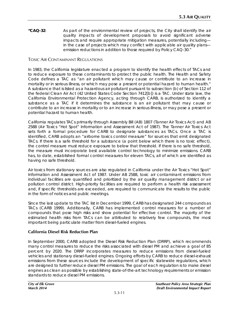**"CAQ-32**: As part of the environmental review of projects, the City shall identify the air quality impacts of development proposals to avoid significant adverse impacts and require appropriate mitigation measures, potentially including in the case of projects which may conflict with applicable air quality plans emission reductions in addition to those required by Policy CAQ-30."

## TOXIC AIR CONTAMINANT REGULATIONS

In 1983, the California legislature enacted a program to identify the health effects of TACs and to reduce exposure to these contaminants to protect the public health. The Health and Safety Code defines a TAC as "an air pollutant which may cause or contribute to an increase in mortality or in serious illness, or which may pose a present or potential hazard to human health." A substance that is listed as a hazardous air pollutant pursuant to subsection (b) of Section 112 of the federal Clean Air Act (42 United States Code Section 7412[b]) is a TAC. Under state law, the California Environmental Protection Agency, acting through CARB, is authorized to identify a substance as a TAC if it determines the substance is an air pollutant that may cause or contribute to an increase in mortality or to an increase in serious illness, or may pose a present or potential hazard to human health.

California regulates TACs primarily through Assembly Bill (AB) 1807 (Tanner Air Toxics Act) and AB 2588 (Air Toxics "Hot Spot" Information and Assessment Act of 1987). The Tanner Air Toxics Act sets forth a formal procedure for CARB to designate substances as TACs. Once a TAC is identified, CARB adopts an "airborne toxics control measure" for sources that emit designated TACs. If there is a safe threshold for a substance (a point below which there is no toxic effect), the control measure must reduce exposure to below that threshold. If there is no safe threshold, the measure must incorporate best available control technology to minimize emissions. CARB has, to date, established formal control measures for eleven TACs, all of which are identified as having no safe threshold.

Air toxics from stationary sources are also regulated in California under the Air Toxics "Hot Spot" Information and Assessment Act of 1987. Under AB 2588, toxic air contaminant emissions from individual facilities are quantified and prioritized by the air quality management district or air pollution control district. High-priority facilities are required to perform a health risk assessment and, if specific thresholds are exceeded, are required to communicate the results to the public in the form of notices and public meetings.

Since the last update to the TAC list in December 1999, CARB has designated 244 compounds as TACs (CARB 1999). Additionally, CARB has implemented control measures for a number of compounds that pose high risks and show potential for effective control. The majority of the estimated health risks from TACs can be attributed to relatively few compounds, the most important being particulate matter from diesel-fueled engines.

# **California Diesel Risk Reduction Plan**

In September 2000, CARB adopted the Diesel Risk Reduction Plan (DRRP), which recommends many control measures to reduce the risks associated with diesel PM and achieve a goal of 85 percent by 2020. The DRRP incorporates measures to reduce emissions from diesel-fueled vehicles and stationary diesel-fueled engines. Ongoing efforts by CARB to reduce diesel-exhaust emissions from these sources include the development of specific statewide regulations, which are designed to further reduce diesel PM emissions. The goal of each regulation is to make diesel engines as clean as possible by establishing state-of-the-art technology requirements or emission standards to reduce diesel PM emissions.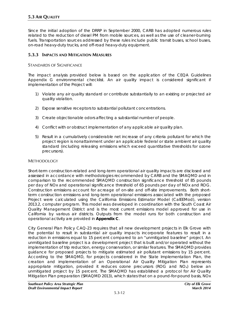Since the initial adoption of the DRRP in September 2000, CARB has adopted numerous rules related to the reduction of diesel PM from mobile sources, as well as the use of cleaner-burning fuels. Transportation sources addressed by these rules include public transit buses, school buses, on-road heavy-duty trucks, and off-road heavy-duty equipment.

## **5.3.3 IMPACTS AND MITIGATION MEASURES**

#### STANDARDS OF SIGNIFICANCE

The impact analysis provided below is based on the application of the CEQA Guidelines Appendix G environmental checklist. An air quality impact is considered significant if implementation of the Project will:

- 1) Violate any air quality standard or contribute substantially to an existing or projected air quality violation.
- 2) Expose sensitive receptors to substantial pollutant concentrations.
- 3) Create objectionable odors affecting a substantial number of people.
- 4) Conflict with or obstruct implementation of any applicable air quality plan.
- 5) Result in a cumulatively considerable net increase of any criteria pollutant for which the project region is nonattainment under an applicable federal or state ambient air quality standard (including releasing emissions which exceed quantitative thresholds for ozone precursors).

#### METHODOLOGY

Short-term construction-related and long-term operational air quality impacts are disclosed and assessed in accordance with methodologies recommended by CARB and the SMAQMD and in comparison to the recommended SMAQMD construction significance threshold of 85 pounds per day of NOx and operational significance threshold of 65 pounds per day of NOx and ROG. Construction emissions account for acreage of on-site and off-site improvements. Both shortterm construction emissions and long-term operational emissions associated with the proposed Project were calculated using the California Emissions Estimator Model (CalEEMod), version 2013.2, computer program. This model was developed in coordination with the South Coast Air Quality Management District and is the most current emissions model approved for use in California by various air districts. Outputs from the model runs for both construction and operational activity are provided in **Appendix C**.

City General Plan Policy CAQ-23 requires that all new development projects in Elk Grove with the potential to result in substantial air quality impacts incorporate features to result in a reduction in emissions equal to 15 percent compared to an "unmitigated baseline" project. An unmitigated baseline project is a development project that is built and/or operated without the implementation of trip reduction, energy conservation, or similar features. The SMAQMD provides guidance for proposed projects to mitigate estimated air pollutant emissions by 15 percent. According to the SMAQMD, for projects considered in the State Implementation Plan, the creation and implementation of an Operational Air Quality Mitigation Plan represents appropriate mitigation, provided it reduces ozone precursors (ROG and NOx) below an unmitigated project by 15 percent. The SMAQMD has established a protocol for Air Quality Mitigation Plan preparation (SMAQMD 2013), which states that on a pound-for-pound basis, NOx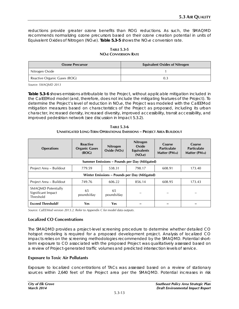reductions provide greater ozone benefits than ROG reductions. As such, the SMAQMD recommends normalizing ozone precursors based on their ozone creation potential in units of Equivalent Oxides of Nitrogen  $(NO_xe)$ . **Table 5.3-5** shows the  $NO_xe$  conversion rate.

| <b>TABLE 5.3-5</b>                       |
|------------------------------------------|
| <b>NO</b> <sub>x</sub> e Conversion Rate |

| <b>Ozone Precursor</b>       | <b>Equivalent Oxides of Nitrogen</b> |
|------------------------------|--------------------------------------|
| Nitrogen Oxide               |                                      |
| Reactive Organic Gases (ROG) |                                      |

*Source: SMAQMD 2013*

**Table 5.3-6** shows emissions attributable to the Project, without applicable mitigation included in the CalEEMod model (and, therefore, does not include the mitigating features of the Project). To determine the Project's level of reduction in NOxe, the Project was modeled with the CalEEMod mitigation measures based on characteristics of the Project as proposed, including its urban character, increased density, increased diversity, improved accessibility, transit accessibility, and improved pedestrian network (see discussion in Impact 5.3.2).

| <b>TABLE 5.3-6</b>                                                  |
|---------------------------------------------------------------------|
| UNMITIGATED LONG-TERM OPERATIONAL EMISSIONS - PROIECT AREA BUILDOUT |

| <b>Operations</b>                                                         | <b>Reactive</b><br><b>Organic Gases</b><br>(ROG) | <b>Nitrogen</b><br>Oxide (NOx) | <b>Nitrogen</b><br>Oxide<br><b>Equivalents</b><br>(NO <sub>x</sub> e) | Coarse<br><b>Particulate</b><br>Matter (PM <sub>10</sub> ) | Coarse<br><b>Particulate</b><br>Matter (PM <sub>10</sub> ) |  |  |
|---------------------------------------------------------------------------|--------------------------------------------------|--------------------------------|-----------------------------------------------------------------------|------------------------------------------------------------|------------------------------------------------------------|--|--|
|                                                                           |                                                  |                                | Summer Emissions – Pounds per Day (Mitigated)                         |                                                            |                                                            |  |  |
| Project Area - Buildout                                                   | 779.59                                           | 538.31                         | 798.17                                                                | 608.91                                                     | 173.40                                                     |  |  |
| Winter Emissions – Pounds per Day (Mitigated)                             |                                                  |                                |                                                                       |                                                            |                                                            |  |  |
| Project Area - Buildout<br>606.22<br>856.14<br>608.95<br>173.43<br>749.76 |                                                  |                                |                                                                       |                                                            |                                                            |  |  |
| <b>SMAOMD Potentially</b><br>Significant Impact<br>Threshold              | 65<br>pounds/day                                 | 65<br>pounds/day               |                                                                       |                                                            |                                                            |  |  |
| <b>Exceed Threshold?</b>                                                  | Yes                                              | Yes                            |                                                                       |                                                            |                                                            |  |  |

*Source: CalEEMod version 2013.2. Refer to Appendix C for model data outputs.* 

## **Localized CO Concentrations**

The SMAQMD provides a project-level screening procedure to determine whether detailed CO hotspot modeling is required for a proposed development project. Analysis of localized CO impacts relies on the screening methodologies recommended by the SMAQMD. Potential shortterm exposure to CO associated with the proposed Project was qualitatively assessed based on a review of Project-generated traffic volumes and predicted intersection levels of service.

#### **Exposure to Toxic Air Pollutants**

Exposure to localized concentrations of TACs was assessed based on a review of stationary sources within 2,640 feet of the Project area per the SMAQMD. Potential increases in risk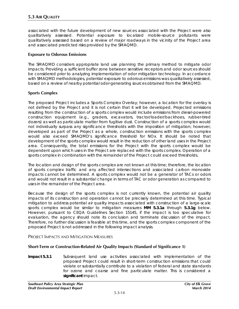associated with the future development of new sources associated with the Project were also qualitatively assessed. Potential exposure to localized mobile-source pollutants were qualitatively assessed based on a review of major roadways in the vicinity of the Project area and associated predicted risks provided by the SMAQMD.

## **Exposure to Odorous Emissions**

The SMAQMD considers appropriate land use planning the primary method to mitigate odor impacts. Providing a sufficient buffer zone between sensitive receptors and odor sources should be considered prior to analyzing implementation of odor mitigation technology. In accordance with SMAQMD methodologies, potential exposure to odorous emissions was qualitatively assessed, based on a review of nearby potential odor-generating sources obtained from the SMAQMD.

## **Sports Complex**

The proposed Project includes a Sports Complex Overlay; however, a location for the overlay is not defined by the Project and it is not certain that it will be developed. Projected emissions resulting from the construction of a sports complex would include emissions from diesel-powered construction equipment (e.g., graders, excavators, tractor/loader/backhoes, rubber-tired dozers) as well as particulate matter from fugitive dust. Construction of a sports complex would not individually surpass any significance thresholds with the imposition of mitigation; however, developed as part of the Project as a whole, construction emissions with the sports complex would also exceed SMAQMD's significance threshold for NOx. It should be noted that development of the sports complex would result in the reduction of other land uses in the Project area. Consequently, the total emissions for the Project with the sports complex would be dependent upon which uses in the Project are replaced with the sports complex. Operation of a sports complex in combination with the remainder of the Project could exceed thresholds.

The location and design of the sports complex are not known at this time; therefore, the location of sports complex traffic and any affected intersections and associated carbon monoxide impacts cannot be determined. A sports complex would not be a generator of TACs or odors and would not result in a substantial change in terms of TAC or odor generation as compared to uses in the remainder of the Project area.

Because the design of the sports complex is not currently known, the potential air quality impacts of its construction and operation cannot be precisely determined at this time. Typical mitigation to address potential air quality impacts associated with construction of a large-scale sports complex would be similar to mitigation measures **MM 5.3.1a** through **5.3.1g** below. However, pursuant to CEQA Guidelines Section 15145, if the impact is too speculative for evaluation, the agency should note its conclusion and terminate discussion of the impact. Therefore, no further discussion is feasible at this time, and the sports complex component of the proposed Project is not addressed in the following impact analysis.

## PROJECT IMPACTS AND MITIGATION MEASURES

# **Short-Term or Construction-Related Air Quality Impacts (Standard of Significance 1)**

**Impact 5.3.1** Subsequent land use activities associated with implementation of the proposed Project could result in short-term construction emissions that could violate or substantially contribute to a violation of federal and state standards for ozone and coarse and fine particulate matter. This is considered a **significant** impact.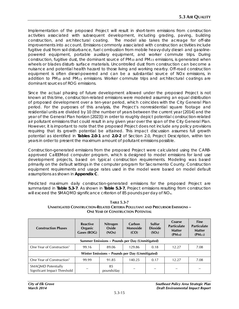Implementation of the proposed Project will result in short-term emissions from construction activities associated with subsequent development, including grading, paving, building construction, and architectural coating. The model also takes the acreage for off-site improvements into account. Emissions commonly associated with construction activities include fugitive dust from soil disturbance, fuel combustion from mobile heavy-duty diesel- and gasolinepowered equipment, portable auxiliary equipment, and worker commute trips. During construction, fugitive dust, the dominant source of  $PM_{10}$  and  $PM_{2.5}$  emissions, is generated when wheels or blades disturb surface materials. Uncontrolled dust from construction can become a nuisance and potential health hazard to those living and working nearby. Off-road construction equipment is often diesel-powered and can be a substantial source of NOx emissions, in addition to  $PM_{10}$  and  $PM_{2.5}$  emissions. Worker commute trips and architectural coatings are dominant sources of ROG emissions.

Since the actual phasing of future development allowed under the proposed Project is not known at this time, construction-related emissions were modeled assuming an equal distribution of proposed development over a ten-year period, which coincides with the City General Plan period. For the purposes of this analysis, the Project's nonresidential square footage and residential units are divided by 10 (the number of years between the current year [2014] and the year of the General Plan horizon [2023]) in order to roughly depict potential construction-related air pollutant emissions that could result in any given year over the span of the City General Plan. However, it is important to note that the proposed Project does not include any policy provisions requiring that its growth potential be attained. This impact discussion assumes full growth potential as identified in **Tables 2.0-1** and **2.0-2** of Section 2.0, Project Description, within ten years in order to present the maximum amount of pollutant emissions possible.

Construction-generated emissions from the proposed Project were calculated using the CARBapproved CalEEMod computer program, which is designed to model emissions for land use development projects, based on typical construction requirements. Modeling was based primarily on the default settings in the computer program for Sacramento County. Construction equipment requirements and usage rates used in the model were based on model default assumptions as shown in **Appendix C**.

Predicted maximum daily construction-generated emissions for the proposed Project are summarized in **Table 5.3-7**. As shown in **Table 5.3-7**, Project emissions resulting from construction will exceed the SMAQMD significance criterion of 85 pounds per day of NO<sub>x</sub>.

**TABLE 5.3-7 UNMITIGATED CONSTRUCTION-RELATED CRITERIA POLLUTANT AND PRECURSOR EMISSIONS – ONE YEAR OF CONSTRUCTION POTENTIAL** 

| <b>Construction Phases</b>                                | <b>Reactive</b><br>Organic<br>Gases (ROG) | <b>Nitrogen</b><br>Oxide<br>(NOx) | Carbon<br>Monoxide<br>(CO) | Sulfur<br><b>Dioxide</b><br>(SO <sub>2</sub> ) | Coarse<br><b>Particulate</b><br><b>Matter</b><br>$(PM_{10})$ | <b>Fine</b><br><b>Particulate</b><br><b>Matter</b><br>$(PM_{2.5})$ |  |
|-----------------------------------------------------------|-------------------------------------------|-----------------------------------|----------------------------|------------------------------------------------|--------------------------------------------------------------|--------------------------------------------------------------------|--|
| Summer Emissions – Pounds per Day (Unmitigated)           |                                           |                                   |                            |                                                |                                                              |                                                                    |  |
| One Year of Construction <sup>1</sup>                     | 99.16                                     | 89.06                             | 129.86                     | 0.18                                           | 12.27                                                        | 7.08                                                               |  |
| Winter Emissions – Pounds per Day (Unmitigated)           |                                           |                                   |                            |                                                |                                                              |                                                                    |  |
| One Year of Construction <sup>1</sup>                     | 99.99                                     | 91.85                             | 140.25                     | 0.17                                           | 12.27                                                        | 7.08                                                               |  |
| <b>SMAOMD Potentially</b><br>Significant Impact Threshold |                                           | 85<br>pounds/day                  |                            |                                                |                                                              |                                                                    |  |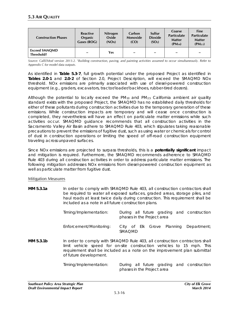| <b>Construction Phases</b>         | Reactive<br>Organic<br>Gases (ROG) | <b>Nitrogen</b><br>Oxide<br>(NOx) | Carbon<br><b>Monoxide</b><br>(CO) | Sulfur<br><b>Dioxide</b><br>(SO <sub>2</sub> ) | Coarse<br><b>Particulate</b><br><b>Matter</b><br>$(PM_{10})$ | <b>Fine</b><br><b>Particulate</b><br><b>Matter</b><br>$(PM_{2.5})$ |
|------------------------------------|------------------------------------|-----------------------------------|-----------------------------------|------------------------------------------------|--------------------------------------------------------------|--------------------------------------------------------------------|
| <b>Exceed SMAOMD</b><br>Threshold? | -                                  | Yes                               | $\overline{\phantom{0}}$          | $\overline{\phantom{0}}$                       | $\overline{\phantom{a}}$                                     | $\overline{\phantom{0}}$                                           |

Source: CalEEMod version 2013.2. <sup>1</sup>Building construction, paving, and painting activities assumed to occur simultaneously. Refer to *Appendix C for model data outputs.* 

As identified in **Table 5.3-7**, full growth potential under the proposed Project as identified in **Tables 2.0-1** and **2.0-2** of Section 2.0, Project Description, will exceed the SMAQMD NOx threshold. NOx emissions are primarily associated with use of diesel-powered construction equipment (e.g., graders, excavators, tractor/loader/backhoes, rubber-tired dozers).

Although the potential to locally exceed the PM10 and PM2.5 California ambient air quality standard exists with the proposed Project, the SMAQMD has no established daily thresholds for either of these pollutants during construction activities due to the temporary generation of these emissions. While construction impacts are temporary and will cease once construction is completed, they nevertheless will have an effect on particulate matter emissions while such activities occur. SMAQMD guidance recommends that all construction activities in the Sacramento Valley Air Basin adhere to SMAQMD Rule 403, which stipulates taking reasonable precautions to prevent the emissions of fugitive dust, such as using water or chemicals for control of dust in construction operations or limiting the speed of off-road construction equipment traveling across unpaved surfaces.

Since NOx emissions are projected to surpass thresholds, this is a **potentially significant** impact and mitigation is required. Furthermore, the SMAQMD recommends adherence to SMAQMD Rule 403 during all construction activities in order to address particulate matter emissions. The following mitigation addresses NOx emissions from diesel-powered construction equipment as well as particulate matter from fugitive dust.

## Mitigation Measures

**MM 5.3.1a** In order to comply with SMAQMD Rule 403, all construction contractors shall be required to water all exposed surfaces, graded areas, storage piles, and haul roads at least twice daily during construction. This requirement shall be included as a note in all future construction plans.

| Timing/Implementation:  | phases in the Project area | During all future grading and construction |  |
|-------------------------|----------------------------|--------------------------------------------|--|
| Enforcement/Monitoring: | <b>SMAOMD</b>              | City of Elk Grove Planning Department;     |  |

**MM 5.3.1b** In order to comply with SMAQMD Rule 403, all construction contractors shall limit vehicle speed for on-site construction vehicles to 15 mph. This requirement shall be included as a note on the improvement plan submittal of future development.

> *Timing/Implementation: During all future grading and construction phases in the Project area*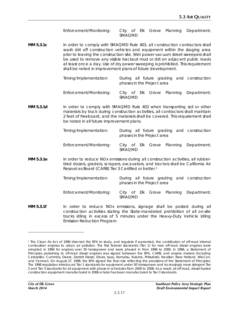*Enforcement/Monitoring: City of Elk Grove Planning Department; SMAQMD*

**MM 5.3.1c** In order to comply with SMAQMD Rule 403, all construction contractors shall wash dirt off construction vehicles and equipment within the staging area prior to leaving the construction site. Wet power vacuum street sweepers shall be used to remove any visible trackout mud or dirt on adjacent public roads at least once a day. Use of dry power sweeping is prohibited. This requirement shall be noted in improvement plans of future development.

> *Timing/Implementation: During all future grading and construction phases in the Project area Enforcement/Monitoring: City of Elk Grove Planning Department;*

> > *SMAQMD*

**MM 5.3.1d** In order to comply with SMAQMD Rule 403 when transporting soil or other materials by truck during construction activities, all contractors shall maintain 2 feet of freeboard, and the materials shall be covered. This requirement shall be noted in all future improvement plans.

| Timing/Implementation:  | phases in the Project area |  | During all future grading and construction |
|-------------------------|----------------------------|--|--------------------------------------------|
| Enforcement/Monitoring: | <b>SMAOMD</b>              |  | City of Elk Grove Planning Department;     |

**MM 5.3.1e** In order to reduce NOx emissions during all construction activities, all rubbertired dozers, graders, scrapers, excavators, and tractors shall be California Air Resources Board (CARB) Tier 3 Certified or better.[1](#page-18-0)

| Timing/Implementation:  | phases in the Project area |  |  | During all future grading and construction |
|-------------------------|----------------------------|--|--|--------------------------------------------|
| Enforcement/Monitoring: | <b>SMAOMD</b>              |  |  | City of Elk Grove Planning Department;     |

**MM 5.3.1f** In order to reduce NOx emissions, signage shall be posted during all construction activities stating the State-mandated prohibition of all on-site trucks idling in excess of 5 minutes under the Heavy-Duty Vehicle Idling Emission Reduction Program.

l

<span id="page-18-0"></span><sup>1</sup> The Clean Air Act of 1990 directed the EPA to study, and regulate if warranted, the contribution of off-road internal combustion engines to urban air pollution. The first federal standards (Tier 1) for new off-road diesel engines were adopted in 1994 for engines over 50 horsepower and were phased in from 1996 to 2000. In 1996, a Statement of Principles pertaining to off-road diesel engines was signed between the EPA, CARB, and engine makers (including Caterpillar, Cummins, Deere, Detroit Diesel, Deutz, Isuzu, Komatsu, Kubota, Mitsubishi, Navistar, New Holland, Wis-Con, and Yanmar). On August 27, 1998, the EPA signed the final rule reflecting the provisions of the Statement of Principles. The 1998 regulation introduced Tier 1 standards for equipment under 50 horsepower and increasingly more stringent Tier 2 and Tier 3 standards for all equipment with phase-in schedules from 2000 to 2008. As a result, all off-road, diesel-fueled construction equipment manufactured in 2006 or later has been manufactured to Tier 3 standards.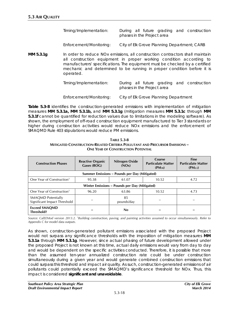| Timing/Implementation: |                            |  |  | During all future grading and construction |
|------------------------|----------------------------|--|--|--------------------------------------------|
|                        | phases in the Project area |  |  |                                            |
|                        |                            |  |  |                                            |

*Enforcement/Monitoring: City of Elk Grove Planning Department; CARB*

**MM 5.3.1g** In order to reduce NOx emissions, all construction contractors shall maintain all construction equipment in proper working condition according to manufacturers' specifications. The equipment must be checked by a certified mechanic and determined to be running in proper condition before it is operated.

| Timing/Implementation: |                            |  |  | During all future grading and construction |
|------------------------|----------------------------|--|--|--------------------------------------------|
|                        | phases in the Project area |  |  |                                            |

*Enforcement/Monitoring: City of Elk Grove Planning Department*

**Table 5.3-8** identifies the construction-generated emissions with implementation of mitigation measures **MM 5.3.1a, MM 5.3.1b,** and **MM 5.3.1g** (mitigation measures **MM 5.3.1c** through **MM 5.3.1f** cannot be quantified for reduction values due to limitations in the modeling software). As shown, the employment of off-road construction equipment manufactured to Tier 3 standards or higher during construction activities would reduce NOx emissions and the enforcement of SMAQMD Rule 403 stipulations would reduce PM emissions.

| <b>Construction Phases</b>                                | <b>Reactive Organic</b><br>Gases (ROG)        | Nitrogen Oxide<br>(NOx) | Coarse<br><b>Particulate Matter</b><br>$(PM_{10})$ | <b>Fine</b><br><b>Particulate Matter</b><br>$(PM_{2.5})$ |  |  |  |
|-----------------------------------------------------------|-----------------------------------------------|-------------------------|----------------------------------------------------|----------------------------------------------------------|--|--|--|
|                                                           | Summer Emissions – Pounds per Day (Mitigated) |                         |                                                    |                                                          |  |  |  |
| One Year of Construction <sup>1</sup>                     | 95.38                                         | 61.07                   | 10.52                                              | 4.72                                                     |  |  |  |
|                                                           | Winter Emissions – Pounds per Day (Mitigated) |                         |                                                    |                                                          |  |  |  |
| One Year of Construction <sup>1</sup>                     | 96.20                                         | 63.86                   | 10.52                                              | 4.73                                                     |  |  |  |
| <b>SMAQMD Potentially</b><br>Significant Impact Threshold |                                               | 85<br>pounds/day        |                                                    |                                                          |  |  |  |
| <b>Exceed SMAQMD</b><br>Threshold?                        |                                               | No                      |                                                    |                                                          |  |  |  |

**TABLE 5.3-8 MITIGATED CONSTRUCTION-RELATED CRITERIA POLLUTANT AND PRECURSOR EMISSIONS – ONE YEAR OF CONSTRUCTION POTENTIAL** 

Source: CalEEMod version 2013.2. <sup>1</sup>Building construction, paving, and painting activities assumed to occur simultaneously. Refer to *Appendix C for model data outputs.* 

As shown, construction-generated pollutant emissions associated with the proposed Project would not surpass any significance thresholds with the imposition of mitigation measures **MM 5.3.1a** through **MM 5.3.1g**. However, since actual phasing of future development allowed under the proposed Project is not known at this time, actual daily emissions would vary from day to day and would be dependent on the specific activities conducted. Therefore, it is possible that more than the assumed ten-year annualized construction rate could be under construction simultaneously during a given year and would generate combined construction emissions that could surpass this threshold and impact air quality. As such, construction-generated emissions of air pollutants could potentially exceed the SMAQMD's significance threshold for NOx. Thus, this impact is considered **significant and unavoidable**.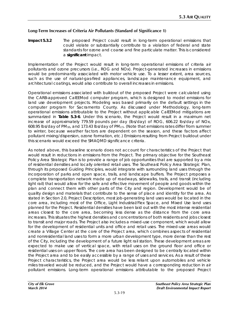# **Long-Term Increases of Criteria Air Pollutants (Standard of Significance 1)**

**Impact 5.3.2** The proposed Project could result in long-term operational emissions that could violate or substantially contribute to a violation of federal and state standards for ozone and coarse and fine particulate matter. This is considered a **significant** impact.

Implementation of the Project would result in long-term operational emissions of criteria air pollutants and ozone precursors (i.e., ROG and NOx). Project-generated increases in emissions would be predominantly associated with motor vehicle use. To a lesser extent, area sources, such as the use of natural-gas-fired appliances, landscape maintenance equipment, and architectural coatings, would also contribute to overall increases in emissions.

Operational emissions associated with buildout of the proposed Project were calculated using the CARB-approved CalEEMod computer program, which is designed to model emissions for land use development projects. Modeling was based primarily on the default settings in the computer program for Sacramento County. As discussed under Methodology, long-term operational emissions attributable to the Project without applicable CalEEMod mitigations are summarized in **Table 5.3-6**. Under this scenario, the Project would result in a maximum net increase of approximately 779.59 pounds per day (lbs/day) of ROG, 606.22 lbs/day of NOx, 608.95 lbs/day of PM10, and 173.43 lbs/day of PM2.5. (Note that emissions rates differ from summer to winter, because weather factors are dependent on the season, and these factors affect pollutant mixing/dispersion, ozone formation, etc.) Emissions resulting from Project buildout under this scenario would exceed the SMAQMD significance criteria.

As noted above, this baseline scenario does not account for characteristics of the Project that would result in reductions in emissions from the Project. The primary objective for the Southeast Policy Area Strategic Plan is to provide a range of job opportunities that are supported by a mix of residential densities and locally oriented retail uses. The Southeast Policy Area Strategic Plan, through its proposed Guiding Principles, would integrate with surrounding land uses through the incorporation of parks and open space, trails, and landscape buffers. The Project proposes a complete transportation network made up of roadways, sidewalks, trails, and transit (including light rail) that would allow for the safe and effective movement of people and goods within the plan and connect them with other parts of the City and region. Development would be of quality design and materials that contribute to the sense of place and identity for the area. As stated in Section 2.0, Project Description, most job-generating land uses would be located in the core area, including most of the Office, Light Industrial/Flex Space, and Mixed Use land uses planned for the Project. Residential densities have been laid out with the most intense residential areas closest to the core area, becoming less dense as the distance from the core area increases. This situates the highest densities and concentrations of both residents and jobs closest to transit and major roads. The Project also includes a mixed-use component, which would allow for the development of residential units and office and retail uses. The mixed-use areas would create a Village Center at the core of the Project area, which combines aspects of residential and nonresidential land uses to form a more urban development type, more dense than the rest of the City, including the development of a future light rail station. These development areas are expected to make use of vertical space, with retail uses on the ground floor and office or residential uses on upper floors. The core area has been designed to be centrally located within the Project area and to be easily accessible by a range of uses and services. As a result of these Project characteristics, the Project area would be less reliant upon automobiles and vehicle miles traveled would be reduced, and the Project would have a corresponding reduction in air pollutant emissions. Long-term operational emissions attributable to the proposed Project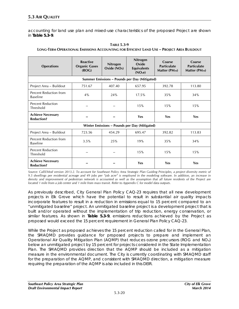accounting for land use plan and mixed-use characteristics of the proposed Project are shown in **Table 5.3-9**.

| <b>Operations</b>                             | <b>Reactive</b><br><b>Organic Gases</b><br>(ROG) | <b>Nitrogen</b><br>Oxide (NO <sub>x</sub> ) | Nitrogen<br>Oxide<br><b>Equivalents</b><br>(NO <sub>x</sub> e) | Coarse<br><b>Particulate</b><br>Matter (PM <sub>10</sub> ) | Coarse<br><b>Particulate</b><br>Matter (PM <sub>10</sub> ) |
|-----------------------------------------------|--------------------------------------------------|---------------------------------------------|----------------------------------------------------------------|------------------------------------------------------------|------------------------------------------------------------|
|                                               |                                                  |                                             | Summer Emissions – Pounds per Day (Mitigated)                  |                                                            |                                                            |
| Project Area - Buildout                       | 751.67                                           | 407.40                                      | 657.95                                                         | 392.78                                                     | 113.80                                                     |
| Percent Reduction from<br><b>Baseline</b>     | 4%                                               | 24%                                         | 17.5%                                                          | 35%                                                        | 34%                                                        |
| <b>Percent Reduction</b><br><b>Threshold</b>  |                                                  |                                             | 15%                                                            | 15%                                                        | 15%                                                        |
| <b>Achieve Necessary</b><br><b>Reduction?</b> |                                                  |                                             | Yes                                                            | Yes                                                        | Yes                                                        |
|                                               |                                                  |                                             | Winter Emissions - Pounds per Day (Mitigated)                  |                                                            |                                                            |
| Project Area - Buildout                       | 723.56                                           | 454.29                                      | 695.47                                                         | 392.82                                                     | 113.83                                                     |
| Percent Reduction from<br><b>Baseline</b>     | 3.5%                                             | 25%                                         | 19%                                                            | 35%                                                        | 34%                                                        |
| <b>Percent Reduction</b><br>Threshold         |                                                  |                                             | 15%                                                            | 15%                                                        | 15%                                                        |
| <b>Achieve Necessary</b><br><b>Reduction?</b> |                                                  |                                             | Yes                                                            | Yes                                                        | Yes                                                        |

**TABLE 5.3-9 LONG-TERM OPERATIONAL EMISSIONS ACCOUNTING FOR EFFICIENT LAND USE – PROJECT AREA BUILDOUT**

*Source: CalEEMod version 2013.2. To account for Southeast Policy Area Strategic Plan Guiding Principles, a project diversity metric of 9.5 dwellings per residential acreage and 49 jobs per "job acre" is employed in the modeling software. In addition, an increase in density and improvement of pedestrian network is accounted as well as the assumption that all future residents of the Project are located 1 mile from a job center and 1 mile from mass transit. Refer to Appendix C for model data outputs.* 

As previously described, City General Plan Policy CAQ-23 requires that all new development projects in Elk Grove which have the potential to result in substantial air quality impacts incorporate features to result in a reduction in emissions equal to 15 percent compared to an "unmitigated baseline" project. An unmitigated baseline project is a development project that is built and/or operated without the implementation of trip reduction, energy conservation, or similar features. As shown in **Table 5.3-9**, emissions reductions achieved by the Project as proposed would exceed the 15 percent requirement in General Plan Policy CAQ-23.

While the Project as proposed achieves the 15 percent reduction called for in the General Plan, the SMAQMD provides guidance for proposed projects to prepare and implement an Operational Air Quality Mitigation Plan (AQMP) that reduces ozone precursors (ROG and NOx) below an unmitigated project by 15 percent for projects considered in the State Implementation Plan. The SMAQMD provides direction that the AQMP should be included as a mitigation measure in the environmental document. The City is currently coordinating with SMAQMD staff for the preparation of the AQMP, and consistent with SMAQMD direction, a mitigation measure requiring the preparation of the AQMP is also included in this DEIR.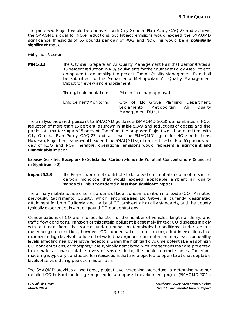The proposed Project would be consistent with City General Plan Policy CAQ-23 and achieve the SMAQMD's goal for NOxe reductions, but Project emissions would exceed the SMAQMD significance thresholds of 65 pounds per day of ROG and NOx. This would be a **potentially significant** impact.

#### Mitigation Measures

**MM 5.3.2** The City shall prepare an Air Quality Management Plan that demonstrates a 15 percent reduction in NOx equivalents for the Southeast Policy Area Project, compared to an unmitigated project. The Air Quality Management Plan shall be submitted to the Sacramento Metropolitan Air Quality Management District for review and endorsement.

| Timing/Implementation:  | Prior to final map approval |                                                                               |  |
|-------------------------|-----------------------------|-------------------------------------------------------------------------------|--|
| Enforcement/Monitoring: | <b>Management District</b>  | City of Elk Grove Planning Department;<br>Sacramento Metropolitan Air Quality |  |

The analysis prepared pursuant to SMAQMD guidance (SMAQMD 2013) demonstrates a NOxe reduction of more than 15 percent, as shown in **Table 5.3-9,** and reductions of coarse and fine particulate matter surpass 15 percent. Therefore, the proposed Project would be consistent with City General Plan Policy CAQ-23 and achieve the SMAQMD's goal for NOxe reductions. However, Project emissions would exceed the SMAQMD significance thresholds of 65 pounds per day of ROG and NOx. Therefore, operational emissions would represent a **significant and unavoidable** impact.

## **Exposes Sensitive Receptors to Substantial Carbon Monoxide Pollutant Concentrations (Standard of Significance 2)**

**Impact 5.3.3** The Project would not contribute to localized concentrations of mobile-source carbon monoxide that would exceed applicable ambient air quality standards. This is considered a **less than significant** impact.

The primary mobile-source criteria pollutant of local concern is carbon monoxide (CO). As noted previously, Sacramento County, which encompasses Elk Grove, is currently designated attainment for both California and national CO ambient air quality standards, and the county typically experiences low background CO concentrations.

Concentrations of CO are a direct function of the number of vehicles, length of delay, and traffic flow conditions. Transport of this criteria pollutant is extremely limited; CO disperses rapidly with distance from the source under normal meteorological conditions. Under certain meteorological conditions, however, CO concentrations close to congested intersections that experience high levels of traffic and elevated background concentrations may reach unhealthy levels, affecting nearby sensitive receptors. Given the high traffic volume potential, areas of high CO concentrations, or "hotspots," are typically associated with intersections that are projected to operate at unacceptable levels of service during the peak commute hours. Therefore, modeling is typically conducted for intersections that are projected to operate at unacceptable levels of service during peak commute hours.

The SMAQMD provides a two-tiered, project-level screening procedure to determine whether detailed CO hotspot modeling is required for a proposed development project (SMAQMD 2011).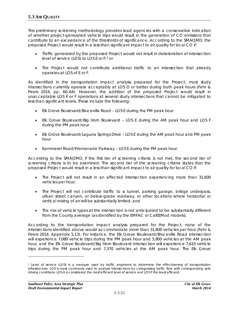This preliminary screening methodology provides lead agencies with a conservative indication of whether project-generated vehicle trips would result in the generation of CO emissions that contribute to an exceedance of the thresholds of significance. According to the SMAQMD, the proposed Project would result in a less than significant impact to air quality for local CO if:

- Traffic generated by the proposed Project would not result in deterioration of intersection level of service (LOS) to LOS E or F;[2](#page-23-0) or
- The Project would not contribute additional traffic to an intersection that already operates at LOS of E or F.

As identified in the transportation impact analysis prepared for the Project, most study intersections currently operate acceptably at LOS D or better during both peak hours (Fehr & Peers 2014, pp. 60–64). However, the addition of the proposed Project would result in unacceptable LOS E or F operations at several study intersections that cannot be mitigated to less than significant levels. These include the following:

- Elk Grove Boulevard/Bruceville Road LOS E during the PM peak hour
- Elk Grove Boulevard/Big Horn Boulevard LOS E during the AM peak hour and LOS F during the PM peak hour
- Elk Grove Boulevard/Laguna Springs Drive LOS E during the AM peak hour and PM peak hour
- Kammerer Road/Promenade Parkway LOS E during the PM peak hour

According to the SMAQMD, if the first tier of screening criteria is not met, the second tier of screening criteria is to be examined. The second tier of the screening criteria states that the proposed Project would result in a less than significant impact to air quality for local CO if:

- The Project will not result in an affected intersection experiencing more than 31,600 vehicles per hour;
- The Project will not contribute traffic to a tunnel, parking garage, bridge underpass, urban street canyon, or below-grade roadway, or other locations where horizontal or vertical mixing of air will be substantially limited; and
- The mix of vehicle types at the intersection is not anticipated to be substantially different from the County average (as identified by the EMFAC or CalEEMod models).

According to the transportation impact analysis prepared for the Project, none of the intersections identified above would accommodate more than 31,600 vehicles per hour (Fehr & Peers 2014, Appendix 5.13). For instance, the Elk Grove Boulevard/Bruceville Road intersection will experience 7,080 vehicle trips during the PM peak hour and 5,900 vehicles at the AM peak hour, and the Elk Grove Boulevard/Big Horn Boulevard intersection will experience 7,610 vehicle trips during the PM peak hour and 7,370 vehicles at the AM peak hour. The Elk Grove

-

<span id="page-23-0"></span><sup>&</sup>lt;sup>2</sup> Level of service (LOS) is a measure used by [traffic engineers](http://en.wikipedia.org/wiki/Transport_traffic_engineering) to determine the effectiveness of transportation infrastructure. LOS is most commonly used to analyze intersections by categorizing traffic flow with corresponding safe driving conditions. LOS A is considered the most efficient level of service and LOS F the least efficient.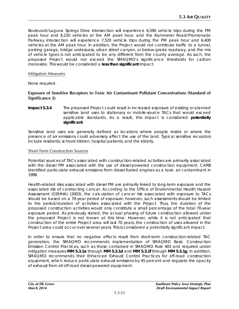Boulevard/Laguna Springs Drive intersection will experience 6,590 vehicle trips during the PM peak hour and 6,220 vehicles at the AM peak hour, and the Kammerer Road/Promenade Parkway intersection will experience 7,520 vehicle trips during the PM peak hour and 6,400 vehicles at the AM peak hour. In addition, the Project would not contribute traffic to a tunnel, parking garage, bridge underpass, urban street canyon, or below-grade roadway, and the mix of vehicle types is not anticipated to be any different from the county average. As such, the proposed Project would not exceed the SMAQMD's significance thresholds for carbon monoxide. This would be considered a **less than significant** impact.

#### Mitigation Measures

None required.

#### **Exposure of Sensitive Receptors to Toxic Air Contaminant Pollutant Concentrations (Standard of Significance 2)**

**Impact 5.3.4** The proposed Project could result in increased exposure of existing or planned sensitive land uses to stationary or mobile-source TACs that would exceed applicable standards. As a result, this impact is considered **potentially significant**.

Sensitive land uses are generally defined as locations where people reside or where the presence of air emissions could adversely affect the use of the land. Typical sensitive receptors include residents, schoolchildren, hospital patients, and the elderly.

#### Short-Term Construction Sources

Potential sources of TACs associated with construction-related activities are primarily associated with the diesel PM associated with the use of diesel-powered construction equipment. CARB identified particulate exhaust emissions from diesel-fueled engines as a toxic air contaminant in 1998.

Health-related risks associated with diesel PM are primarily linked to long-term exposure and the associated risk of contracting cancer. According to the Office of Environmental Health Hazard Assessment (OEHHA) (2003), the calculation of cancer risk associated with exposure to TACs should be based on a 70-year period of exposure; however, such assessments should be limited to the period/duration of activities associated with the Project. Thus, the duration of the proposed construction activities would only constitute a small percentage of the total 70-year exposure period. As previously stated, the actual phasing of future construction allowed under the proposed Project is not known at this time. However, while it is not anticipated that construction of the entire Project area will last 70 years, the construction of uses allowed in the Project area could occur over several years. This is considered a potentially significant impact.

In order to ensure that no negative effects result from short-term construction-related TAC generation, the SMAQMD recommends implementation of SMAQMD Basic Construction Emission Control Practices, such as those contained in SMAQMD Rule 403 and required under mitigation measures **MM 5.3.1a** through **MM 5.3.1d** and **MM 5.3.1f** through **MM 5.3.1g**. In addition, SMAQMD recommends their Enhanced Exhaust Control Practices for off-road construction equipment, which reduce particulate exhaust emissions by 45 percent and regulate the opacity of exhaust from all off-road diesel-powered equipment.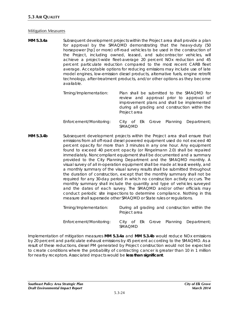#### Mitigation Measures

**MM 5.3.4a** Subsequent development projects within the Project area shall provide a plan for approval by the SMAQMD demonstrating that the heavy-duty (50 horsepower [hp] or more) off-road vehicles to be used in the construction of the Project, including owned, leased, and subcontractor vehicles, will achieve a project-wide fleet-average 20 percent NOx reduction and 45 percent particulate reduction compared to the most recent CARB fleet average. Acceptable options for reducing emissions may include use of late model engines, low-emission diesel products, alternative fuels, engine retrofit technology, after-treatment products, and/or other options as they become available.

| Timing/Implementation:  | Plan shall be submitted to the SMAQMD for<br>review and approval prior to approval of<br>improvement plans and shall be implemented<br>during all grading and construction within the<br>Project area |
|-------------------------|-------------------------------------------------------------------------------------------------------------------------------------------------------------------------------------------------------|
| Enforcement/Monitoring: | City of Elk Grove Planning Department;<br><b>SMAQMD</b>                                                                                                                                               |

**MM 5.3.4b** Subsequent development projects within the Project area shall ensure that emissions from all off-road diesel powered equipment used do not exceed 40 percent opacity for more than 3 minutes in any one hour. Any equipment found to exceed 40 percent opacity (or Ringelmann 2.0) shall be repaired immediately. Noncompliant equipment shall be documented and a summary provided to the City Planning Department and the SMAQMD monthly. A visual survey of all in-operation equipment shall be made at least weekly, and a monthly summary of the visual survey results shall be submitted throughout the duration of construction, except that the monthly summary shall not be required for any 30-day period in which no construction activity occurs. The monthly summary shall include the quantity and type of vehicles surveyed and the dates of each survey. The SMAQMD and/or other officials may conduct periodic site inspections to determine compliance. Nothing in this measure shall supersede other SMAQMD or State rules or regulations.

| Timing/Implementation:  | During all grading and construction within the<br>Project area |
|-------------------------|----------------------------------------------------------------|
| Enforcement/Monitoring: | City of Elk Grove Planning Department;<br><b>SMAOMD</b>        |

Implementation of mitigation measures **MM 5.3.4a** and **MM 5.3.4b** would reduce NOx emissions by 20 percent and particulate exhaust emissions by 45 percent according to the SMAQMD. As a result of these reductions, diesel PM generated by Project construction would not be expected to create conditions where the probability of contracting cancer is greater than 10 in 1 million for nearby receptors. Associated impacts would be **less than significant**.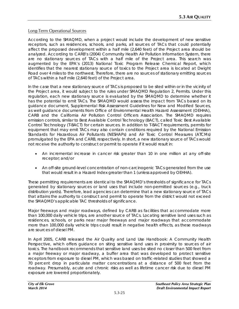## Long-Term Operational Sources

According to the SMAQMD, when a project would include the development of new sensitive receptors, such as residences, schools, and parks, all sources of TACs that could potentially affect the proposed development within a half mile (2,640 feet) of the Project area should be analyzed. According to CARB's (2004) Community Health Air Pollution Information System, there are no stationary sources of TACs with a half mile of the Project area. This search was augmented by the EPA's (2013) National Toxic Program Release Chemical Report, which identifies that the nearest stationary source of toxics to the Project area is located at Dwight Road over 4 miles to the northwest. Therefore, there are no sources of stationary emitting sources of TACs within a half mile (2,640 feet) of the Project area.

In the case that a new stationary source of TACs is proposed to be sited within or in the vicinity of the Project area, it would subject to the rules under SMAQMD Regulation 2, Permits. Under this regulation, each new stationary source is evaluated by the SMAQMD to determine whether it has the potential to emit TACs. The SMAQMD would assess the impact from TACs based on its guidance document, *Supplemental Risk Assessment Guidelines for New and Modified Sources*, as well guidance documents from Office of Environmental Health Hazard Assessment (OEHHA), CARB and the California Air Pollution Control Officers Association. The SMAQMD requires emission controls, similar to Best Available Control Technology (BACT), called Toxic Best Available Control Technology (T-BACT) for certain sources. In addition to T-BACT requirements, permits for equipment that may emit TACs may also contain conditions required by the National Emission Standards for Hazardous Air Pollutants (NESHAPs) and Air Toxic Control Measures (ATCMs) promulgated by the EPA and CARB, respectively. In short, a new stationary source of TACs would not receive the authority to construct or permit to operate if it would result in:

- An incremental increase in cancer risk greater than 10 in one million at any off-site receptor; and/or
- An off-site ground-level concentration of non-carcinogenic TACs generated from the use that would result in a Hazard Index greater than 1 (unless approved by OEHHA).

These permitting requirements are identical to the SMAQMD's thresholds of significance for TACs generated by stationary sources or land uses that include non-permitted sources (e.g., truck distribution yards). Therefore, lead agencies can determine that a new stationary source of TACs that attains the authority to construct and permit to operate from the district would not exceed the SMAQMD's applicable TAC thresholds of significance.

Major freeways and major roadways, defined by CARB as facilities that accommodate more than 100,000 daily vehicle trips, are another source of TACs. Locating sensitive land uses such as residences, schools, or parks near major freeways and major roadways that accommodate more than 100,000 daily vehicle trips could result in negative health effects, as these roadways are sources of diesel PM.

In April 2005, CARB released the *Air Quality and Land Use Handbook: A Community Health Perspective*, which offers guidance on siting sensitive land uses in proximity to sources of air toxics. The handbook recommends that sensitive land uses be sited no closer than 500 feet from a major freeway or major roadway, a buffer area that was developed to protect sensitive receptors from exposure to diesel PM, which was based on traffic-related studies that showed a 70 percent drop in particulate matter concentrations at a distance of 500 feet from the roadway. Presumably, acute and chronic risks as well as lifetime cancer risk due to diesel PM exposure are lowered proportionately.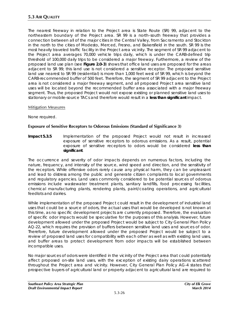The nearest freeway in relation to the Project area is State Route (SR) 99, adjacent to the northeastern boundary of the Project area. SR 99 is a north–south freeway that provides a connection between all of the major cities in the Central Valley, from Sacramento and Stockton in the north to the cities of Modesto, Merced, Fresno, and Bakersfield in the south. SR 99 is the most heavily traveled traffic facility in the Project area vicinity. The segment of SR 99 adjacent to the Project area averages 70,000 vehicle trips daily, which is under the CARB-defined trip threshold of 100,000 daily trips to be considered a major freeway. Furthermore, a review of the proposed land use plan (see **Figure 2.0-3**) shows that office land uses are proposed for the areas adjacent to SR 99; this land use is not considered a sensitive receptor. The proposed sensitive land use nearest to SR 99 (residential) is more than 1,000 feet west of SR 99, which is beyond the CARB-recommended buffer of 500 feet. Therefore, the segment of SR 99 adjacent to the Project area is not considered a major freeway segment, and all proposed Project area sensitive land uses will be located beyond the recommended buffer area associated with a major freeway segment. Thus, the proposed Project would not expose existing or planned sensitive land uses to stationary or mobile-source TACs and therefore would result in a **less than significant** impact.

## Mitigation Measures

None required.

## **Exposure of Sensitive Receptors to Odorous Emissions (Standard of Significance 3)**

**Impact 5.3.5** Implementation of the proposed Project would not result in increased exposure of sensitive receptors to odorous emissions. As a result, potential exposure of sensitive receptors to odors would be considered **less than significant**.

The occurrence and severity of odor impacts depends on numerous factors, including the nature, frequency, and intensity of the source, wind speed and direction, and the sensitivity of the receptors. While offensive odors rarely cause any physical harm, they can be unpleasant and lead to distress among the public and generate citizen complaints to local governments and regulatory agencies. Land uses commonly considered to be potential sources of odorous emissions include wastewater treatment plants, sanitary landfills, food processing facilities, chemical manufacturing plants, rendering plants, paint/coating operations, and agricultural feedlots and dairies.

While implementation of the proposed Project could result in the development of industrial land uses that could be a source of odors, the actual uses that would be developed is not known at this time, as no specific development projects are currently proposed. Therefore, the evaluation of specific odor impacts would be speculative for the purposes of this analysis. However, future development allowed under the proposed Project would be subject to City General Plan Policy AQ-22, which requires the provision of buffers between sensitive land uses and sources of odor. Therefore, future development allowed under the proposed Project would be subject to a review of proposed land uses for compatibility with each other as well as with existing land uses, and buffer areas to protect development from odor impacts will be established between incompatible uses.

No major sources of odors were identified in the vicinity of the Project area that could potentially affect proposed on-site land uses, with the exception of existing dairy operations scattered throughout the Project area and vicinity. However, City General Plan Policy AG-4 states that prospective buyers of agricultural land or property adjacent to agricultural land are required to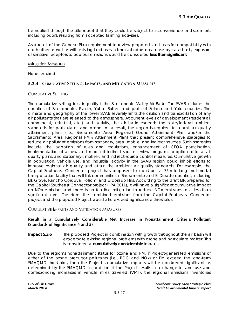be notified through the title report that they could be subject to inconvenience or discomfort, including odors, resulting from accepted farming activities.

As a result of the General Plan requirement to review proposed land uses for compatibility with each other as well as with existing land uses in terms of odors on a case-by-case basis, exposure of sensitive receptors to odorous emissions would be considered **less than significant**.

#### Mitigation Measures

None required.

# **5.3.4 CUMULATIVE SETTING, IMPACTS, AND MITIGATION MEASURES**

## CUMULATIVE SETTING

The cumulative setting for air quality is the Sacramento Valley Air Basin. The SVAB includes the counties of Sacramento, Placer, Yuba, Sutter, and parts of Solano and Yolo counties. The climate and geography of the lower SVAB severely limits the dilution and transportation of any air pollutants that are released to the atmosphere. At current levels of development (residential, commercial, industrial, etc.) and activity, the air basin exceeds the state/federal ambient standards for particulates and ozone. As a result, the region is required to submit air quality attainment plans (i.e., Sacramento Area Regional Ozone Attainment Plan and/or the Sacramento Area Regional PM<sub>10</sub> Attainment Plan) that present comprehensive strategies to reduce air pollutant emissions from stationary, area, mobile, and indirect sources. Such strategies include the adoption of rules and regulations, enhancement of CEQA participation, implementation of a new and modified indirect source review program, adoption of local air quality plans, and stationary-, mobile-, and indirect-source control measures. Cumulative growth in population, vehicle use, and industrial activity in the SVAB region could inhibit efforts to improve regional air quality and attain the ambient air quality standards. For example, the Capitol Southeast Connector project has proposed to construct a 35‐mile‐long multimodal transportation facility that will link communities in Sacramento and El Dorado counties, including Elk Grove, Rancho Cordova, Folsom, and El Dorado Hills. According to the draft EIR prepared for the Capitol Southeast Connector project (JPA 2011), it will have a significant cumulative impact on NOx emissions and there is no feasible mitigation to reduce NOx emissions to a less than significant level. Therefore, the combined emissions from the Capitol Southeast Connector project and the proposed Project would also exceed significance thresholds.

## CUMULATIVE IMPACTS AND MITIGATION MEASURES

## **Result in a Cumulatively Considerable Net Increase in Nonattainment Criteria Pollutant (Standards of Significance 4 and 5)**

**Impact 5.3.6** The proposed Project in combination with growth throughout the air basin will exacerbate existing regional problems with ozone and particulate matter. This is considered a **cumulatively considerable** impact.

Due to the region's nonattainment status for ozone and PM, if Project-generated emissions of either of the ozone precursor pollutants (i.e., ROG and NOx) or PM exceed the long-term SMAQMD thresholds, then the Project's cumulative impacts will be considered significant as determined by the SMAQMD. In addition, if the Project results in a change in land use and corresponding increases in vehicle miles traveled (VMT), the regional emissions inventories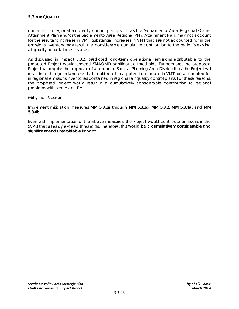contained in regional air quality control plans, such as the Sacramento Area Regional Ozone Attainment Plan and/or the Sacramento Area Regional PM<sub>10</sub> Attainment Plan, may not account for the resultant increase in VMT. Substantial increases in VMT that are not accounted for in the emissions inventory may result in a considerable cumulative contribution to the region's existing air quality nonattainment status.

As discussed in Impact 5.3.2, predicted long-term operational emissions attributable to the proposed Project would exceed SMAQMD significance thresholds. Furthermore, the proposed Project will require the approval of a rezone to Special Planning Area District; thus, the Project will result in a change in land use that could result in a potential increase in VMT not accounted for in regional emissions inventories contained in regional air quality control plans. For these reasons, the proposed Project would result in a cumulatively considerable contribution to regional problems with ozone and PM.

## Mitigation Measures

Implement mitigation measures **MM 5.3.1a** through **MM 5.3.1g**, **MM 5.3.2**, **MM 5.3.4a,** and **MM 5.3.4b**.

Even with implementation of the above measures, the Project would contribute emissions in the SVAB that already exceed thresholds. Therefore, this would be a **cumulatively considerable** and **significant and unavoidable** impact.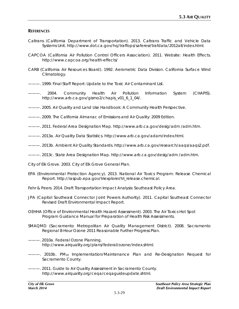#### **REFERENCES**

- Caltrans (California Department of Transportation). 2013. Caltrans Traffic and Vehicle Data Systems Unit. http://www.dot.ca.gov/hq/traffops/saferesr/trafdata/2012all/index.html.
- CAPCOA (California Air Pollution Control Officers Association). 2011. Website: *Health Effects*. http://www.capcoa.org/health-effects/
- CARB (California Air Resources Board). 1992. Aerometric Data Division. *California Surface Wind Climatology*.
- ———. 1999. *Final Staff Report: Update to the Toxic Air Contaminant List.*
- ———. 2004*. Community Health Air Pollution Information System (CHAPIS*). http://www.arb.ca.gov/gismo2/chapis\_v01\_6\_1\_04/.
- ———. 2005. *Air Quality and Land Use Handbook: A Community Health Perspective.*
- ———. 2009. *The California Almanac of Emissions and Air Quality: 2009 Edition*.
- ———. 2011. Federal Area Designation Map*.* http://www.arb.ca.gov/desig/adm /adm.htm.
- ———. 2013a. *Air Quality Data Statistics.* [http://www.arb.ca.gov/adam/index.html.](http://www.arb.ca.gov/adam/index.html)
- ———. 2013b. *Ambient Air Quality Standards*. [http://www.arb.ca.gov/research/aaqs/aaqs2.pdf.](http://www.arb.ca.gov/research/aaqs/aaqs2.pdf)
- ———. 2013c. State Area Designation Map*.* http://www.arb.ca.gov/desig/adm /adm.htm.
- City of Elk Grove. 2003. *City of Elk Grove General Plan.*
- EPA (Environmental Protection Agency). 2013. *National Air Toxics Program: Release Chemical Report*. http://iaspub.epa.gov/triexplorer/tri\_release.chemical.
- Fehr & Peers. 2014. *Draft Transportation Impact Analysis: Southeast Policy Area*.
- JPA (Capitol Southeast Connector Joint Powers Authority). 2011. *Capital Southeast Connector Revised Draft Environmental Impact Report*.
- OEHHA (Office of Environmental Health Hazard Assessment). 2003. *The Air Toxics Hot Spot Program Guidance Manual for Preparation of Health Risk Assessments.*
- SMAQMD (Sacramento Metropolitan Air Quality Management District). 2008. *Sacramento Regional 8-Hour Ozone 2011 Reasonable Further Progress Plan*.
- ———. 2010a. *Federal Ozone Planning.* http://www.airquality.org/plans/federal/ozone/index.shtml.
- ———. 2010b. *PM10 Implementation/Maintenance Plan and Re-Designation Request for Sacramento County.*
- ———. 2011. *Guide to Air Quality Assessment in Sacramento County*. http://www.airquality.org/ceqa/ceqaguideupdate.shtml.